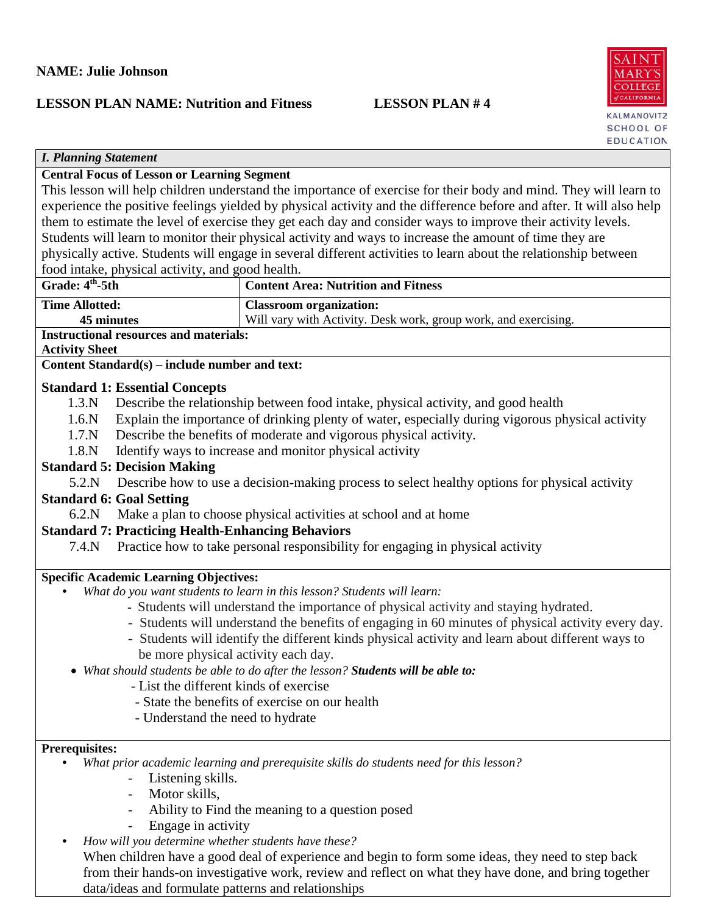# **LESSON PLAN NAME: Nutrition and Fitness LESSON PLAN # 4**



| <b>I. Planning Statement</b>                                                                                         |                                                                                                                 |  |  |
|----------------------------------------------------------------------------------------------------------------------|-----------------------------------------------------------------------------------------------------------------|--|--|
| <b>Central Focus of Lesson or Learning Segment</b>                                                                   |                                                                                                                 |  |  |
| This lesson will help children understand the importance of exercise for their body and mind. They will learn to     |                                                                                                                 |  |  |
| experience the positive feelings yielded by physical activity and the difference before and after. It will also help |                                                                                                                 |  |  |
|                                                                                                                      | them to estimate the level of exercise they get each day and consider ways to improve their activity levels.    |  |  |
| Students will learn to monitor their physical activity and ways to increase the amount of time they are              |                                                                                                                 |  |  |
|                                                                                                                      | physically active. Students will engage in several different activities to learn about the relationship between |  |  |
| food intake, physical activity, and good health.                                                                     |                                                                                                                 |  |  |
| Grade: $4th$ -5th                                                                                                    | <b>Content Area: Nutrition and Fitness</b>                                                                      |  |  |
| <b>Time Allotted:</b>                                                                                                | <b>Classroom</b> organization:                                                                                  |  |  |
| 45 minutes                                                                                                           | Will vary with Activity. Desk work, group work, and exercising.                                                 |  |  |
| <b>Instructional resources and materials:</b>                                                                        |                                                                                                                 |  |  |
| <b>Activity Sheet</b>                                                                                                |                                                                                                                 |  |  |
| Content Standard(s) – include number and text:                                                                       |                                                                                                                 |  |  |
|                                                                                                                      |                                                                                                                 |  |  |
| <b>Standard 1: Essential Concepts</b>                                                                                |                                                                                                                 |  |  |
| 1.3.N                                                                                                                | Describe the relationship between food intake, physical activity, and good health                               |  |  |
| 1.6N                                                                                                                 | Explain the importance of drinking plenty of water, especially during vigorous physical activity                |  |  |
| 1.7 <sub>N</sub>                                                                                                     | Describe the benefits of moderate and vigorous physical activity.                                               |  |  |
| 1.8.N                                                                                                                | Identify ways to increase and monitor physical activity                                                         |  |  |
| <b>Standard 5: Decision Making</b>                                                                                   |                                                                                                                 |  |  |
| 5.2.N                                                                                                                | Describe how to use a decision-making process to select healthy options for physical activity                   |  |  |
| <b>Standard 6: Goal Setting</b>                                                                                      |                                                                                                                 |  |  |
| 6.2.N                                                                                                                | Make a plan to choose physical activities at school and at home                                                 |  |  |
|                                                                                                                      |                                                                                                                 |  |  |
| <b>Standard 7: Practicing Health-Enhancing Behaviors</b>                                                             |                                                                                                                 |  |  |
| 7.4.N                                                                                                                | Practice how to take personal responsibility for engaging in physical activity                                  |  |  |
| <b>Specific Academic Learning Objectives:</b>                                                                        |                                                                                                                 |  |  |
|                                                                                                                      | What do you want students to learn in this lesson? Students will learn:                                         |  |  |
|                                                                                                                      | - Students will understand the importance of physical activity and staying hydrated.                            |  |  |
|                                                                                                                      |                                                                                                                 |  |  |
| - Students will understand the benefits of engaging in 60 minutes of physical activity every day.                    |                                                                                                                 |  |  |
|                                                                                                                      | - Students will identify the different kinds physical activity and learn about different ways to                |  |  |
| be more physical activity each day.                                                                                  |                                                                                                                 |  |  |
| What should students be able to do after the lesson? Students will be able to:                                       |                                                                                                                 |  |  |
| - List the different kinds of exercise                                                                               |                                                                                                                 |  |  |
|                                                                                                                      | - State the benefits of exercise on our health                                                                  |  |  |
| - Understand the need to hydrate                                                                                     |                                                                                                                 |  |  |
|                                                                                                                      |                                                                                                                 |  |  |
|                                                                                                                      |                                                                                                                 |  |  |
| <b>Prerequisites:</b>                                                                                                |                                                                                                                 |  |  |
|                                                                                                                      | What prior academic learning and prerequisite skills do students need for this lesson?                          |  |  |
| Listening skills.                                                                                                    |                                                                                                                 |  |  |
| Motor skills,<br>$\overline{\phantom{a}}$                                                                            |                                                                                                                 |  |  |
|                                                                                                                      | Ability to Find the meaning to a question posed                                                                 |  |  |
| Engage in activity                                                                                                   |                                                                                                                 |  |  |
| How will you determine whether students have these?                                                                  |                                                                                                                 |  |  |
|                                                                                                                      | When children have a good deal of experience and begin to form some ideas, they need to step back               |  |  |
|                                                                                                                      | from their hands-on investigative work, review and reflect on what they have done, and bring together           |  |  |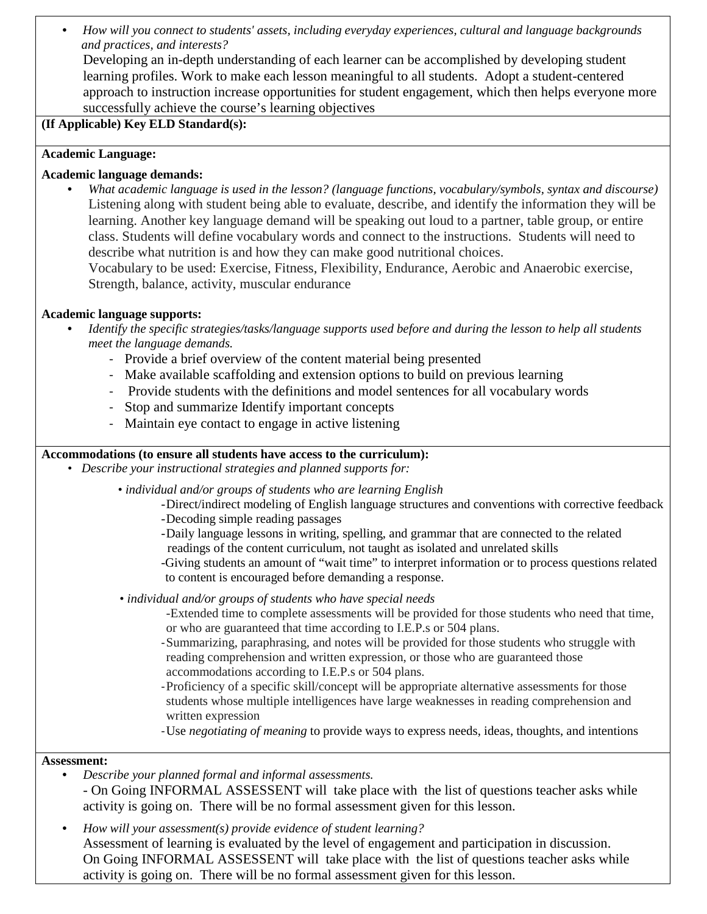• *How will you connect to students' assets, including everyday experiences, cultural and language backgrounds and practices, and interests?* 

Developing an in-depth understanding of each learner can be accomplished by developing student learning profiles. Work to make each lesson meaningful to all students. Adopt a student-centered approach to instruction increase opportunities for student engagement, which then helps everyone more successfully achieve the course's learning objectives

# **(If Applicable) Key ELD Standard(s):**

# **Academic Language:**

# **Academic language demands:**

• *What academic language is used in the lesson? (language functions, vocabulary/symbols, syntax and discourse)* Listening along with student being able to evaluate, describe, and identify the information they will be learning. Another key language demand will be speaking out loud to a partner, table group, or entire class. Students will define vocabulary words and connect to the instructions. Students will need to describe what nutrition is and how they can make good nutritional choices. Vocabulary to be used: Exercise, Fitness, Flexibility, Endurance, Aerobic and Anaerobic exercise,

Strength, balance, activity, muscular endurance

# **Academic language supports:**

- *Identify the specific strategies/tasks/language supports used before and during the lesson to help all students meet the language demands.* 
	- Provide a brief overview of the content material being presented
	- Make available scaffolding and extension options to build on previous learning
	- Provide students with the definitions and model sentences for all vocabulary words
	- Stop and summarize Identify important concepts
	- Maintain eye contact to engage in active listening

# **Accommodations (to ensure all students have access to the curriculum):**

*• Describe your instructional strategies and planned supports for:*

 *• individual and/or groups of students who are learning English*

- -Direct/indirect modeling of English language structures and conventions with corrective feedback -Decoding simple reading passages
- - -Daily language lessons in writing, spelling, and grammar that are connected to the related readings of the content curriculum, not taught as isolated and unrelated skills

-Giving students an amount of "wait time" to interpret information or to process questions related to content is encouraged before demanding a response.

*• individual and/or groups of students who have special needs*

- -Extended time to complete assessments will be provided for those students who need that time, or who are guaranteed that time according to I.E.P.s or 504 plans.
- -Summarizing, paraphrasing, and notes will be provided for those students who struggle with reading comprehension and written expression, or those who are guaranteed those accommodations according to I.E.P.s or 504 plans.
- -Proficiency of a specific skill/concept will be appropriate alternative assessments for those students whose multiple intelligences have large weaknesses in reading comprehension and written expression
- -Use *negotiating of meaning* to provide ways to express needs, ideas, thoughts, and intentions

#### **Assessment:**

• *Describe your planned formal and informal assessments.*

*-* On Going INFORMAL ASSESSENT will take place with the list of questions teacher asks while activity is going on. There will be no formal assessment given for this lesson.

• *How will your assessment(s) provide evidence of student learning?* Assessment of learning is evaluated by the level of engagement and participation in discussion. On Going INFORMAL ASSESSENT will take place with the list of questions teacher asks while activity is going on. There will be no formal assessment given for this lesson.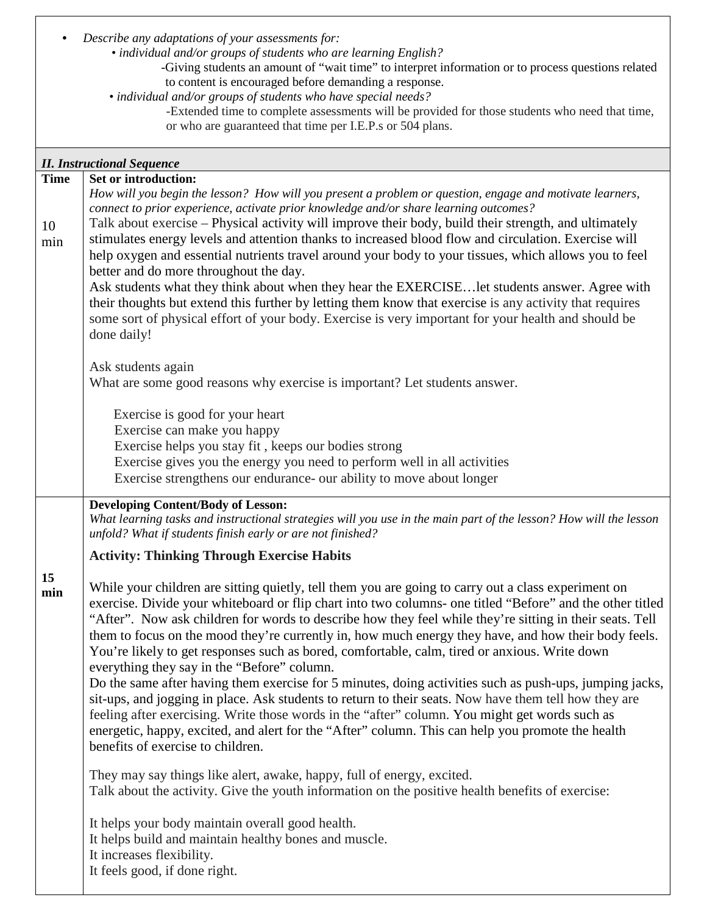|             | Describe any adaptations of your assessments for:<br>• individual and/or groups of students who are learning English?                                                                                    |
|-------------|----------------------------------------------------------------------------------------------------------------------------------------------------------------------------------------------------------|
|             | -Giving students an amount of "wait time" to interpret information or to process questions related                                                                                                       |
|             | to content is encouraged before demanding a response.<br>• individual and/or groups of students who have special needs?                                                                                  |
|             | -Extended time to complete assessments will be provided for those students who need that time,                                                                                                           |
|             | or who are guaranteed that time per I.E.P.s or 504 plans.                                                                                                                                                |
|             | <b>II. Instructional Sequence</b>                                                                                                                                                                        |
| <b>Time</b> | Set or introduction:                                                                                                                                                                                     |
|             | How will you begin the lesson? How will you present a problem or question, engage and motivate learners,                                                                                                 |
|             | connect to prior experience, activate prior knowledge and/or share learning outcomes?<br>Talk about exercise - Physical activity will improve their body, build their strength, and ultimately           |
| 10<br>min   | stimulates energy levels and attention thanks to increased blood flow and circulation. Exercise will                                                                                                     |
|             | help oxygen and essential nutrients travel around your body to your tissues, which allows you to feel                                                                                                    |
|             | better and do more throughout the day.                                                                                                                                                                   |
|             | Ask students what they think about when they hear the EXERCISElet students answer. Agree with<br>their thoughts but extend this further by letting them know that exercise is any activity that requires |
|             | some sort of physical effort of your body. Exercise is very important for your health and should be                                                                                                      |
|             | done daily!                                                                                                                                                                                              |
|             | Ask students again                                                                                                                                                                                       |
|             | What are some good reasons why exercise is important? Let students answer.                                                                                                                               |
|             | Exercise is good for your heart                                                                                                                                                                          |
|             | Exercise can make you happy                                                                                                                                                                              |
|             | Exercise helps you stay fit, keeps our bodies strong<br>Exercise gives you the energy you need to perform well in all activities                                                                         |
|             | Exercise strengthens our endurance- our ability to move about longer                                                                                                                                     |
|             | <b>Developing Content/Body of Lesson:</b>                                                                                                                                                                |
|             | What learning tasks and instructional strategies will you use in the main part of the lesson? How will the lesson<br>unfold? What if students finish early or are not finished?                          |
|             | <b>Activity: Thinking Through Exercise Habits</b>                                                                                                                                                        |
| 15          | While your children are sitting quietly, tell them you are going to carry out a class experiment on                                                                                                      |
| min         | exercise. Divide your whiteboard or flip chart into two columns- one titled "Before" and the other titled                                                                                                |
|             | "After". Now ask children for words to describe how they feel while they're sitting in their seats. Tell                                                                                                 |
|             | them to focus on the mood they're currently in, how much energy they have, and how their body feels.<br>You're likely to get responses such as bored, comfortable, calm, tired or anxious. Write down    |
|             | everything they say in the "Before" column.                                                                                                                                                              |
|             | Do the same after having them exercise for 5 minutes, doing activities such as push-ups, jumping jacks,                                                                                                  |
|             | sit-ups, and jogging in place. Ask students to return to their seats. Now have them tell how they are                                                                                                    |
|             | feeling after exercising. Write those words in the "after" column. You might get words such as<br>energetic, happy, excited, and alert for the "After" column. This can help you promote the health      |
|             | benefits of exercise to children.                                                                                                                                                                        |
|             | They may say things like alert, awake, happy, full of energy, excited.                                                                                                                                   |
|             | Talk about the activity. Give the youth information on the positive health benefits of exercise:                                                                                                         |
|             | It helps your body maintain overall good health.                                                                                                                                                         |
|             | It helps build and maintain healthy bones and muscle.                                                                                                                                                    |
|             | It increases flexibility.<br>It feels good, if done right.                                                                                                                                               |
|             |                                                                                                                                                                                                          |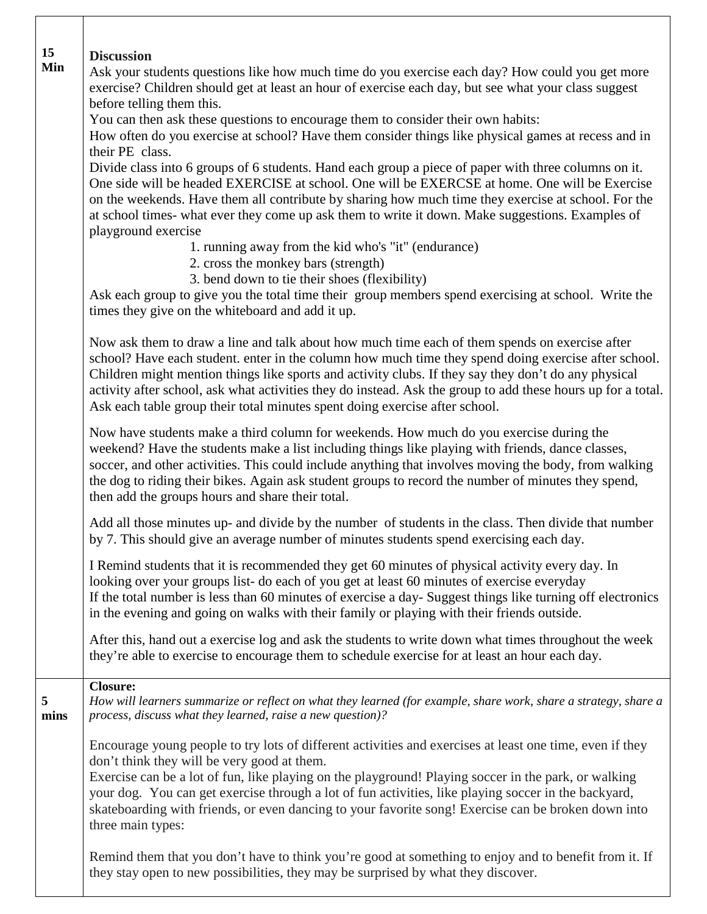| 15<br>Min | <b>Discussion</b><br>Ask your students questions like how much time do you exercise each day? How could you get more<br>exercise? Children should get at least an hour of exercise each day, but see what your class suggest<br>before telling them this.<br>You can then ask these questions to encourage them to consider their own habits:<br>How often do you exercise at school? Have them consider things like physical games at recess and in<br>their PE class.<br>Divide class into 6 groups of 6 students. Hand each group a piece of paper with three columns on it.<br>One side will be headed EXERCISE at school. One will be EXERCSE at home. One will be Exercise<br>on the weekends. Have them all contribute by sharing how much time they exercise at school. For the<br>at school times- what ever they come up ask them to write it down. Make suggestions. Examples of<br>playground exercise<br>1. running away from the kid who's "it" (endurance)<br>2. cross the monkey bars (strength)<br>3. bend down to tie their shoes (flexibility)<br>Ask each group to give you the total time their group members spend exercising at school. Write the<br>times they give on the whiteboard and add it up. |
|-----------|------------------------------------------------------------------------------------------------------------------------------------------------------------------------------------------------------------------------------------------------------------------------------------------------------------------------------------------------------------------------------------------------------------------------------------------------------------------------------------------------------------------------------------------------------------------------------------------------------------------------------------------------------------------------------------------------------------------------------------------------------------------------------------------------------------------------------------------------------------------------------------------------------------------------------------------------------------------------------------------------------------------------------------------------------------------------------------------------------------------------------------------------------------------------------------------------------------------------------|
|           | Now ask them to draw a line and talk about how much time each of them spends on exercise after<br>school? Have each student, enter in the column how much time they spend doing exercise after school.<br>Children might mention things like sports and activity clubs. If they say they don't do any physical<br>activity after school, ask what activities they do instead. Ask the group to add these hours up for a total.<br>Ask each table group their total minutes spent doing exercise after school.                                                                                                                                                                                                                                                                                                                                                                                                                                                                                                                                                                                                                                                                                                                |
|           | Now have students make a third column for weekends. How much do you exercise during the<br>weekend? Have the students make a list including things like playing with friends, dance classes,<br>soccer, and other activities. This could include anything that involves moving the body, from walking<br>the dog to riding their bikes. Again ask student groups to record the number of minutes they spend,<br>then add the groups hours and share their total.                                                                                                                                                                                                                                                                                                                                                                                                                                                                                                                                                                                                                                                                                                                                                             |
|           | Add all those minutes up- and divide by the number of students in the class. Then divide that number<br>by 7. This should give an average number of minutes students spend exercising each day.                                                                                                                                                                                                                                                                                                                                                                                                                                                                                                                                                                                                                                                                                                                                                                                                                                                                                                                                                                                                                              |
|           | I Remind students that it is recommended they get 60 minutes of physical activity every day. In<br>looking over your groups list- do each of you get at least 60 minutes of exercise everyday<br>If the total number is less than 60 minutes of exercise a day-Suggest things like turning off electronics<br>in the evening and going on walks with their family or playing with their friends outside.                                                                                                                                                                                                                                                                                                                                                                                                                                                                                                                                                                                                                                                                                                                                                                                                                     |
|           | After this, hand out a exercise log and ask the students to write down what times throughout the week<br>they're able to exercise to encourage them to schedule exercise for at least an hour each day.                                                                                                                                                                                                                                                                                                                                                                                                                                                                                                                                                                                                                                                                                                                                                                                                                                                                                                                                                                                                                      |
| 5<br>mins | <b>Closure:</b><br>How will learners summarize or reflect on what they learned (for example, share work, share a strategy, share a<br>process, discuss what they learned, raise a new question)?                                                                                                                                                                                                                                                                                                                                                                                                                                                                                                                                                                                                                                                                                                                                                                                                                                                                                                                                                                                                                             |
|           | Encourage young people to try lots of different activities and exercises at least one time, even if they<br>don't think they will be very good at them.<br>Exercise can be a lot of fun, like playing on the playground! Playing soccer in the park, or walking<br>your dog. You can get exercise through a lot of fun activities, like playing soccer in the backyard,<br>skateboarding with friends, or even dancing to your favorite song! Exercise can be broken down into<br>three main types:                                                                                                                                                                                                                                                                                                                                                                                                                                                                                                                                                                                                                                                                                                                          |
|           | Remind them that you don't have to think you're good at something to enjoy and to benefit from it. If<br>they stay open to new possibilities, they may be surprised by what they discover.                                                                                                                                                                                                                                                                                                                                                                                                                                                                                                                                                                                                                                                                                                                                                                                                                                                                                                                                                                                                                                   |

 $\Gamma$